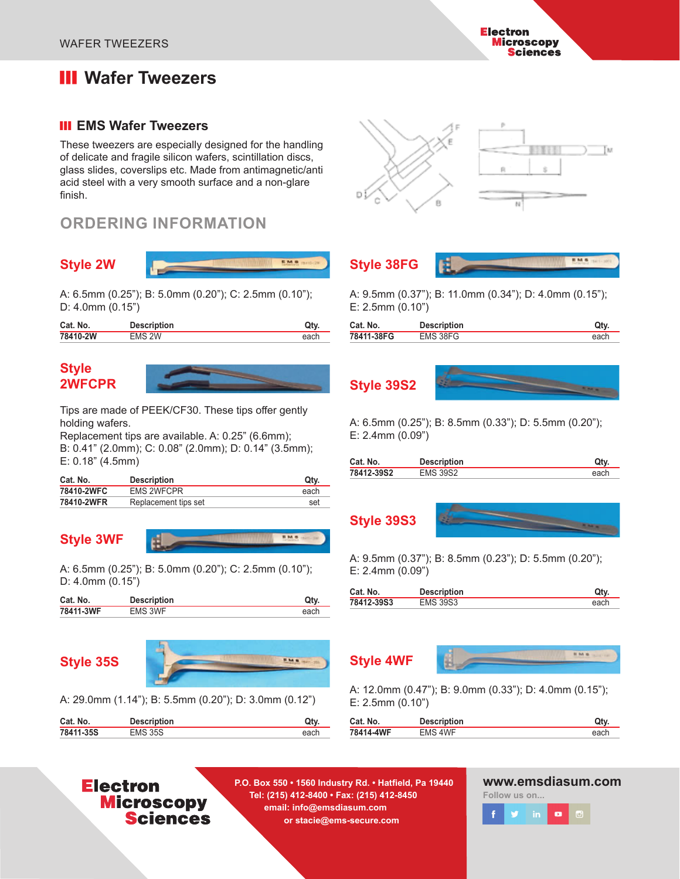# **III** Wafer Tweezers

#### **III EMS Wafer Tweezers**

These tweezers are especially designed for the handling of delicate and fragile silicon wafers, scintillation discs, glass slides, coverslips etc. Made from antimagnetic/anti acid steel with a very smooth surface and a non-glare finish.

# **ORDERING INFORMATION**

#### **Style 2W**



A: 6.5mm (0.25"); B: 5.0mm (0.20"); C: 2.5mm (0.10"); D: 4.0mm (0.15")

| Cat. No. | <b>Description</b> |      |
|----------|--------------------|------|
| 78410-2W | <b>EMS 2W</b>      | ∍ach |
|          |                    |      |

#### **Style 2WFCPR**

Tips are made of PEEK/CF30. These tips offer gently holding wafers.

Replacement tips are available. A: 0.25" (6.6mm); B: 0.41" (2.0mm); C: 0.08" (2.0mm); D: 0.14" (3.5mm); E: 0.18" (4.5mm)

| Cat. No.   | <b>Description</b>   | Qty. |
|------------|----------------------|------|
| 78410-2WFC | <b>EMS 2WFCPR</b>    | each |
| 78410-2WFR | Replacement tips set | set  |

#### **Style 3WF**



A: 6.5mm (0.25"); B: 5.0mm (0.20"); C: 2.5mm (0.10"); D: 4.0mm (0.15")

| Cat. No.  | <b>Description</b> |      |
|-----------|--------------------|------|
| 78411-3WF | <b>EMS 3WF</b>     | each |

# **Style 35S**



A: 29.0mm (1.14"); B: 5.5mm (0.20"); D: 3.0mm (0.12")

| Cat. No.  | <b>Description</b> |      |
|-----------|--------------------|------|
| 78411-35S | <b>EMS 35S</b>     | each |

# Tм 5838



A: 9.5mm (0.37"); B: 11.0mm (0.34"); D: 4.0mm (0.15"); E: 2.5mm (0.10")

| Cat. No.   | <b>Description</b> |      |
|------------|--------------------|------|
| 78411-38FG | EMS 38FG           | each |

**Style 39S2**



A: 6.5mm (0.25"); B: 8.5mm (0.33"); D: 5.5mm (0.20"); E: 2.4mm (0.09")

| Cat. No.   | <b>Description</b> | Qtv. |
|------------|--------------------|------|
| 78412-39S2 | <b>EMS 39S2</b>    | each |
|            |                    |      |





A: 9.5mm (0.37"); B: 8.5mm (0.23"); D: 5.5mm (0.20"); E: 2.4mm (0.09")

| Cat. No.   | <b>Description</b> | Qtv  |
|------------|--------------------|------|
| 78412-39S3 | <b>EMS 39S3</b>    | each |
|            |                    |      |



A: 12.0mm (0.47"); B: 9.0mm (0.33"); D: 4.0mm (0.15"); E: 2.5mm (0.10")

| Cat. No.  | <b>Description</b> | Qty  |
|-----------|--------------------|------|
| 78414-4WF | FMS 4WF            | each |
|           |                    |      |

# **Electron Microscopy Sciences**

**P.O. Box 550 • 1560 Industry Rd. • Hatfield, Pa 19440 Tel: (215) 412-8400 • Fax: (215) 412-8450 email: info@emsdiasum.com or stacie@ems-secure.com** 

**www.emsdiasum.com**

**Follow us on...**



**Electron Microscopy Sciences**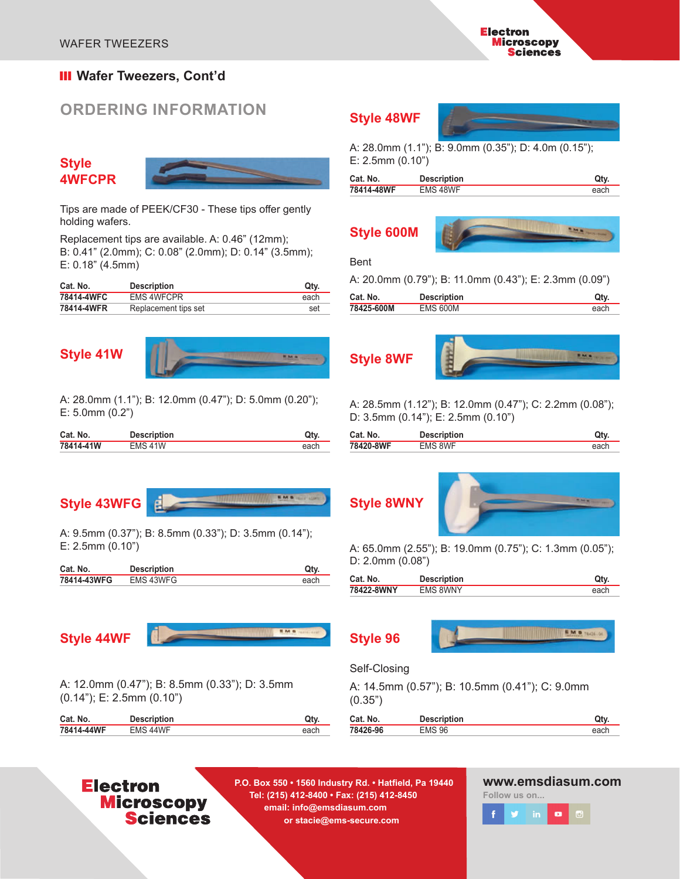#### **III** Wafer Tweezers, Cont'd

# **ORDERING INFORMATION**

#### **Style 4WFCPR**



Tips are made of PEEK/CF30 - These tips offer gently holding wafers.

Replacement tips are available. A: 0.46" (12mm); B: 0.41" (2.0mm); C: 0.08" (2.0mm); D: 0.14" (3.5mm); E: 0.18" (4.5mm)

| Cat. No.   | <b>Description</b>   | Qty. |
|------------|----------------------|------|
| 78414-4WFC | <b>EMS 4WFCPR</b>    | each |
| 78414-4WFR | Replacement tips set | set  |

## **Style 41W**



A: 28.0mm (1.1"); B: 12.0mm (0.47"); D: 5.0mm (0.20"); E: 5.0mm (0.2")

| Cat. No.  | <b>Description</b> | Qty. |
|-----------|--------------------|------|
| 78414-41W | <b>FMS 41W</b>     | each |

# **Style 43WFG**



A: 9.5mm (0.37"); B: 8.5mm (0.33"); D: 3.5mm (0.14"); E: 2.5mm (0.10")

日

| Cat. No.    | <b>Description</b> | Ot۱  |
|-------------|--------------------|------|
| 78414-43WFG | EMS 43WFG          | each |

# **Style 44WF**



A: 12.0mm (0.47"); B: 8.5mm (0.33"); D: 3.5mm (0.14"); E: 2.5mm (0.10")

| Cat. No.   | <b>Description</b> | Qtv. |
|------------|--------------------|------|
| 78414-44WF | FMS 44WF           | each |

#### **Style 48WF**

A: 28.0mm (1.1"); B: 9.0mm (0.35"); D: 4.0m (0.15"); E: 2.5mm (0.10")

| Cat. No.   | <b>Description</b> | Qtv  |
|------------|--------------------|------|
| 78414-48WF | EMS 48WF           | each |

# **Style 600M**



#### Bent

A: 20.0mm (0.79"); B: 11.0mm (0.43"); E: 2.3mm (0.09")

| Cat. No.   | <b>Description</b> | Qty. |
|------------|--------------------|------|
| 78425-600M | <b>EMS 600M</b>    | each |

# **Style 8WF**



A: 28.5mm (1.12"); B: 12.0mm (0.47"); C: 2.2mm (0.08"); D: 3.5mm (0.14"); E: 2.5mm (0.10")

| Cat. No.  | <b>Description</b> | Qty. |
|-----------|--------------------|------|
| 78420-8WF | EMS 8WF            | each |





A: 65.0mm (2.55"); B: 19.0mm (0.75"); C: 1.3mm (0.05"); D: 2.0mm (0.08")

|                               | Qtv. |
|-------------------------------|------|
| 78422-8WNY<br><b>EMS 8WNY</b> | each |

**Style 96**



#### Self-Closing

|         | A: 14.5mm (0.57"); B: 10.5mm (0.41"); C: 9.0mm |  |
|---------|------------------------------------------------|--|
| (0.35") |                                                |  |

| Cat. No. | <b>Description</b> | Qtv  |
|----------|--------------------|------|
| 78426-96 | <b>EMS 96</b>      | each |
|          |                    |      |

# **Electron Microscopy Sciences**

**P.O. Box 550 • 1560 Industry Rd. • Hatfield, Pa 19440 Tel: (215) 412-8400 • Fax: (215) 412-8450 email: info@emsdiasum.com or stacie@ems-secure.com** 

#### **www.emsdiasum.com**

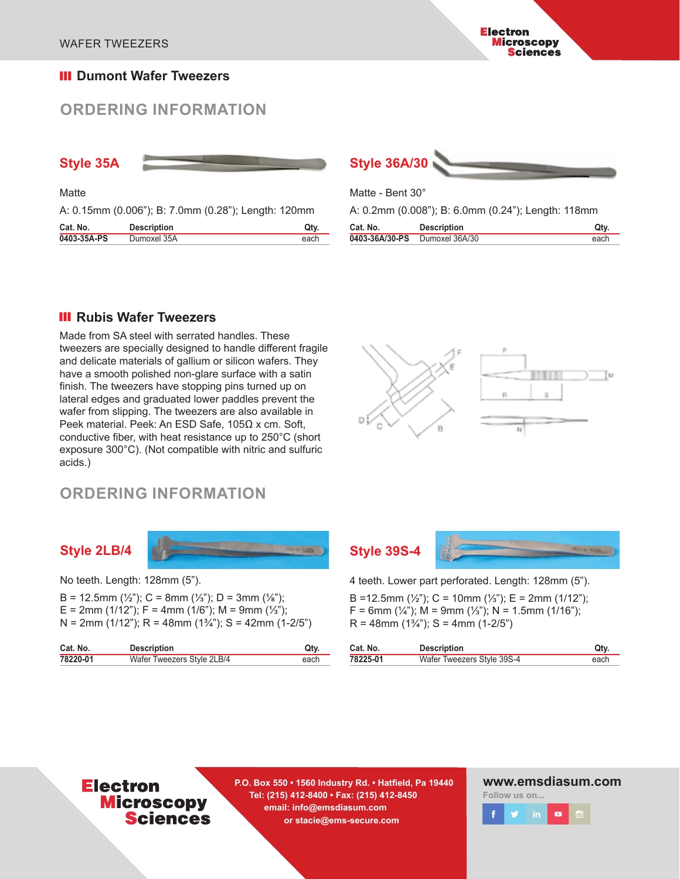#### **III** Dumont Wafer Tweezers

# **ORDERING INFORMATION**



**Matte** 

A: 0.15mm (0.006"); B: 7.0mm (0.28"); Length: 120mm

| Cat. No.    | <b>Description</b> |      |
|-------------|--------------------|------|
| 0403-35A-PS | Dumoxel 35A        | each |



**Electron** 

**Microscopy Sciences** 

Matte - Bent 30°

A: 0.2mm (0.008"); B: 6.0mm (0.24"); Length: 118mm

| Cat. No.       | <b>Description</b> | Qtv. |
|----------------|--------------------|------|
| 0403-36A/30-PS | Dumoxel 36A/30     | each |

#### **III** Rubis Wafer Tweezers

Made from SA steel with serrated handles. These tweezers are specially designed to handle different fragile and delicate materials of gallium or silicon wafers. They have a smooth polished non-glare surface with a satin finish. The tweezers have stopping pins turned up on lateral edges and graduated lower paddles prevent the wafer from slipping. The tweezers are also available in Peek material. Peek: An ESD Safe, 105Ω x cm. Soft, conductive fiber, with heat resistance up to 250°C (short exposure 300°C). (Not compatible with nitric and sulfuric acids.)



# **ORDERING INFORMATION**

#### **Style 2LB/4**



No teeth. Length: 128mm (5").

B = 12.5mm  $(\frac{1}{2})$ ; C = 8mm  $(\frac{1}{3})$ ; D = 3mm  $(\frac{1}{8})$ ; E = 2mm (1/12"); F = 4mm (1/6"); M = 9mm (¼");  $N = 2$ mm (1/12"); R = 48mm (1<sup>3</sup>/<sub>4</sub>"); S = 42mm (1-2/5")

| Cat. No. | <b>Description</b>         | Qtv  |
|----------|----------------------------|------|
| 78220-01 | Wafer Tweezers Style 2LB/4 | each |

# **Style 39S-4**



4 teeth. Lower part perforated. Length: 128mm (5").

B =12.5mm (½"); C = 10mm (½"); E = 2mm (1/12");  $F = 6$ mm (¼"); M = 9mm (¼"); N = 1.5mm (1/16");  $R = 48$ mm  $(1\frac{3}{4})$ ; S = 4mm  $(1-2/5)$ 

| Cat. No. | <b>Description</b>         | Qtv. |
|----------|----------------------------|------|
| 78225-01 | Wafer Tweezers Style 39S-4 | each |

# **Electron Microscopy Sciences**

**P.O. Box 550 • 1560 Industry Rd. • Hatfield, Pa 19440 Tel: (215) 412-8400 • Fax: (215) 412-8450 email: info@emsdiasum.com or stacie@ems-secure.com** 

#### **www.emsdiasum.com**

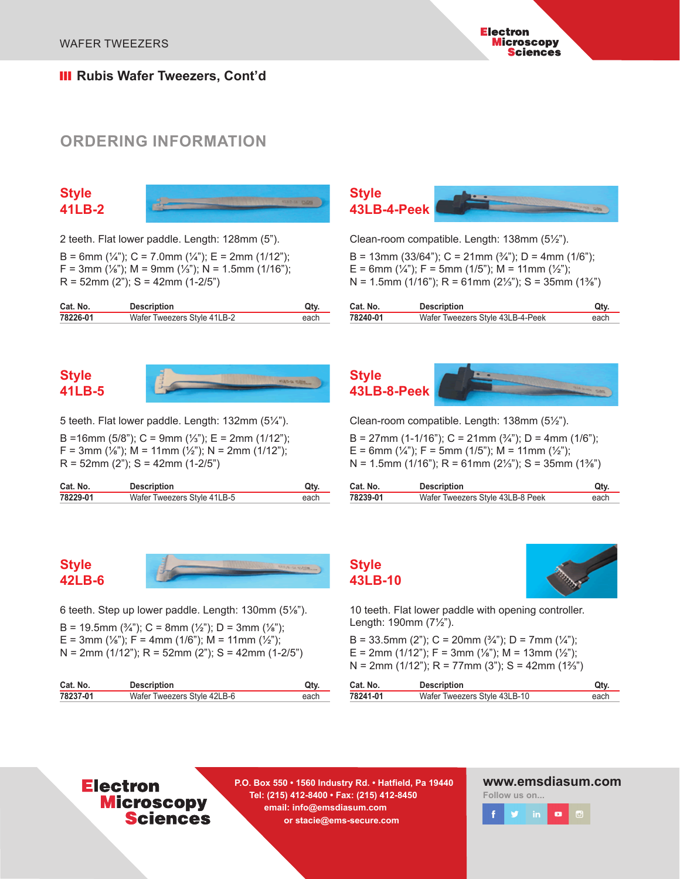**III** Rubis Wafer Tweezers, Cont'd

# **ORDERING INFORMATION**

**Style 41LB-2**



2 teeth. Flat lower paddle. Length: 128mm (5").

B = 6mm  $(\frac{1}{4})$ ; C = 7.0mm  $(\frac{1}{4})$ ; E = 2mm (1/12<sup>"</sup>);  $F = 3$ mm (⅓"); M = 9mm (⅓"); N = 1.5mm (1/16");  $R = 52$ mm (2"); S = 42mm (1-2/5")

| Cat. No. | <b>Description</b>          | Qty. |
|----------|-----------------------------|------|
| 78226-01 | Wafer Tweezers Style 41LB-2 | each |

## **Style 41LB-5**



5 teeth. Flat lower paddle. Length: 132mm (5¼").

B =16mm (5/8"); C = 9mm (¼"); E = 2mm (1/12"); F = 3mm ( $\frac{1}{8}$ "); M = 11mm ( $\frac{1}{2}$ "); N = 2mm (1/12");  $R = 52$ mm (2"); S = 42mm (1-2/5")

| Cat. No. | <b>Description</b>          | Qty. |
|----------|-----------------------------|------|
| 78229-01 | Wafer Tweezers Style 41LB-5 | each |



Clean-room compatible. Length: 138mm (5½").

B = 13mm (33/64"); C = 21mm ( $\frac{3}{4}$ "); D = 4mm (1/6"); E = 6mm  $(\frac{1}{4})$ ; F = 5mm (1/5"); M = 11mm ( $\frac{1}{2}$ "); N = 1.5mm (1/16"); R = 61mm (2⅓"); S = 35mm (1⅜")

| Cat. No. | <b>Description</b>               | Qty. |
|----------|----------------------------------|------|
| 78240-01 | Wafer Tweezers Style 43LB-4-Peek | each |



Clean-room compatible. Length: 138mm (5½").

B = 27mm (1-1/16"); C = 21mm ( $\frac{3}{4}$ "); D = 4mm (1/6"); E = 6mm  $(\frac{1}{4})$ ; F = 5mm (1/5"); M = 11mm ( $\frac{1}{2}$ "); N = 1.5mm (1/16"); R = 61mm (2⅓"); S = 35mm (1⅜")

| Cat. No. | <b>Description</b>               | Qtv. |
|----------|----------------------------------|------|
| 78239-01 | Wafer Tweezers Style 43LB-8 Peek | each |

# **Style 42LB-6**

6 teeth. Step up lower paddle. Length: 130mm (5⅛").

B = 19.5mm  $(\frac{3}{4})$ ; C = 8mm  $(\frac{1}{2})$ ; D = 3mm  $(\frac{1}{8})$ ; E = 3mm ( $\frac{1}{8}$ "); F = 4mm (1/6"); M = 11mm ( $\frac{1}{2}$ ");  $N = 2mm$  (1/12"); R = 52mm (2"); S = 42mm (1-2/5")

| Cat. No. | <b>Description</b>          | Qtv  |
|----------|-----------------------------|------|
| 78237-01 | Wafer Tweezers Style 42LB-6 | each |



10 teeth. Flat lower paddle with opening controller. Length: 190mm (7½").

B = 33.5mm (2"); C = 20mm ( $\frac{3}{4}$ "); D = 7mm ( $\frac{1}{4}$ "); E = 2mm (1/12"); F = 3mm (1/8"); M = 13mm (1/2"); N = 2mm (1/12"); R = 77mm (3"); S = 42mm (1⅔")

| Cat. No. | <b>Description</b>           | Qty  |
|----------|------------------------------|------|
| 78241-01 | Wafer Tweezers Style 43LB-10 | each |

# **Electron Microscopy Sciences**

**P.O. Box 550 • 1560 Industry Rd. • Hatfield, Pa 19440 Tel: (215) 412-8400 • Fax: (215) 412-8450 email: info@emsdiasum.com or stacie@ems-secure.com** 

**Style 43LB-10**

#### **www.emsdiasum.com**